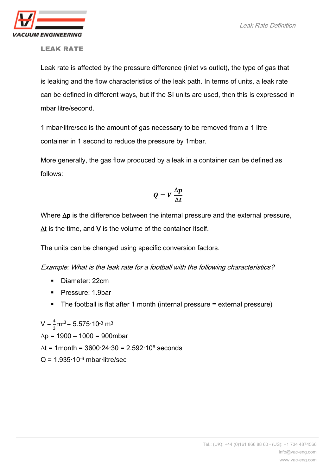

## LEAK RATE

Leak rate is affected by the pressure difference (inlet vs outlet), the type of gas that is leaking and the flow characteristics of the leak path. In terms of units, a leak rate can be defined in different ways, but if the SI units are used, then this is expressed in mbar·litre/second.

1 mbar·litre/sec is the amount of gas necessary to be removed from a 1 litre container in 1 second to reduce the pressure by 1mbar.

More generally, the gas flow produced by a leak in a container can be defined as follows:

$$
Q = V \frac{\Delta p}{\Delta t}
$$

Where ∆p is the difference between the internal pressure and the external pressure, ∆t is the time, and V is the volume of the container itself.

The units can be changed using specific conversion factors.

Example: What is the leak rate for a football with the following characteristics?

- Diameter: 22cm
- Pressure: 1.9bar
- The football is flat after 1 month (internal pressure = external pressure)

 $V = \frac{4}{3}\pi r^3 = 5.575 \cdot 10^{-3}$  m<sup>3</sup>  $\Delta p = 1900 - 1000 = 900$ mbar ∆t = 1month = 3600·24·30 = 2.592·10<sup>6</sup> seconds  $Q = 1.935 \cdot 10^{-6}$  mbar-litre/sec